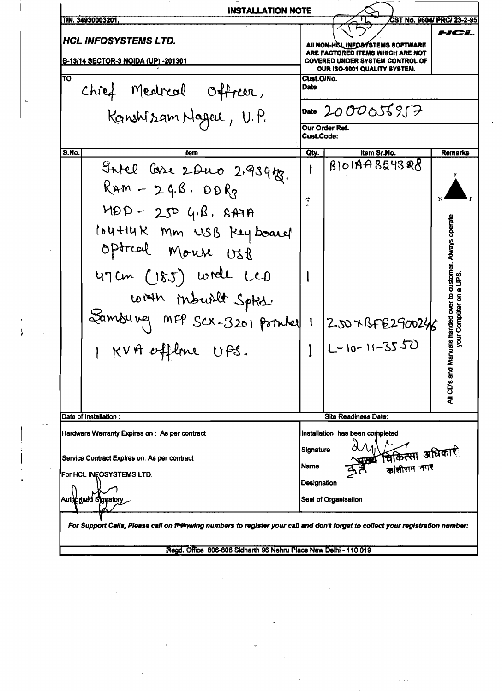\_.--. ••-->••-.--~- **INSTALLATION NOTE** TIN. 34930003201.  $\sqrt{1}$  CST No. 9604/ PRC/ 23-2-95  $\frac{1}{\sqrt{5}}$  . HCL INFOSYSTEMS LTD. ALL NON-HOL INFORMATEMS SOFTWARE ARE FACTORED ITEMS WHICH ARE NOT<br>COVERED UNDER SYSTEM CONTROL OF **B-13/14 SECTOR-3 NOIDA (UP) -201301** OUR IS0-9001 QUALITY SYSTEM. TO CUSTOM CONTROL CONTROL CONTROL CONTROL CONTROL CONTROL CONTROL CONTROL CONTROL CONTROL CONTROL CONTROL CONTROL CONTROL CONTROL CONTROL CONTROL CONTROL CONTROL CONTROL CONTROL CONTROL CONTROL CONTROL CONTROL CONTROL CONT Chief Medical Offreer, Para  $K$ anshizam Nageu, U. P.  $\frac{\rho_{\text{ate}}}{\rho_{\text{meas}}}\frac{2000056857}{2}$ Our Order Ref. Cust.Code: S.No. I Remarks (S.No. International Leonidae Control City, I am Remarks (S.No. I Remarks  $\frac{1}{2}$  1 22 2 2 2 2 2 2 3 4 to 1 8 1 0 14 7 8 5 4 3 8 8  $\frac{1}{2}$  $R$ Am - 2 $4.6 \cdot B0 R_3$  $\left| \begin{array}{c} \begin{array}{c} \begin{array}{c} \end{array} \\ \begin{array}{c} \end{array} \end{array} \right| \end{array} \right| \mathbf{M}$  $M\Theta P - 250$   $G(18.8) + H\Theta P - 250$  $t\cdot$  144 $R$  Mm USB  $k$ ey bearel optral Mouse USB  $U$ <sup>7</sup>  $U$   $U$   $\left(\begin{array}{ccc} 0 & 0 & 0 \\ 0 & 0 & 0 \\ 0 & 0 & 0 \\ 0 & 0 & 0 \\ 0 & 0 & 0 \\ 0 & 0 & 0 \\ 0 & 0 & 0 \\ 0 & 0 & 0 \\ 0 & 0 & 0 \\ 0 & 0 & 0 \\ 0 & 0 & 0 \\ 0 & 0 & 0 \\ 0 & 0 & 0 \\ 0 & 0 & 0 \\ 0 & 0 & 0 \\ 0 & 0 & 0 \\ 0 & 0 & 0 \\ 0 & 0 & 0 \\ 0 & 0 & 0 \\ 0 & 0 & 0 & 0 \\ 0 & 0 & 0 & 0 \\$ with inbuilt Spht.  $~$  Samburg MFP  $~$ SCX-3201 pointed 1  $|$ 250xBFE2900246 <sup>b</sup>c:o ! ....  $|N4 \text{ efficiency} = | 1 | L-10-11-3550$ CD's and Man  $\triangleleft$ Date of Installation: Site Readiness Date: Hardware Warranty Expires on: As per contract Installation has been completed Service Contract Expires on: As per contract Signature  $\alpha$  v  $\alpha$  and  $\alpha$  and  $\alpha$  is  $\alpha$ . For HCL INEOSYSTEMS LTD. siझीराम नग**र** Authorized Spratory and the Contract of Changes of Changes and the Changes of Changes and the Changes of Changes and the Changes of Changes and the Changes of Changes and the Changes of Changes and the Changes of Changes a **g** patory<br> **Example 20** Seal of Organisation<br> **Example 20 Seal of Organisation** r <sub>For</sub> Support Calls, Piease call on ™#ewing numbers to register your call and don't forget to collect your registration number:

~egd. Office 806-808 Sldharth 96 Nehru Place New Deihl - 110 019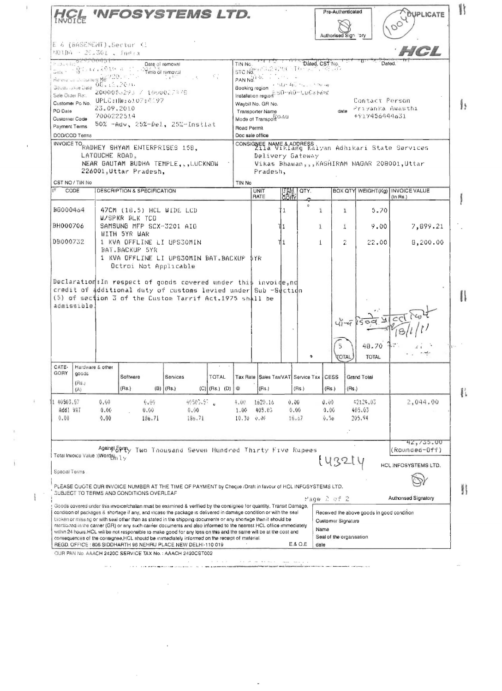|                                                                                                                                                                                                                                                            |                      |                                                                                     |                                                 |                                                                                                                           |                |                                                                                                                       |                       |                                         | Authorised Sign lory |                              |                                                                              |  |
|------------------------------------------------------------------------------------------------------------------------------------------------------------------------------------------------------------------------------------------------------------|----------------------|-------------------------------------------------------------------------------------|-------------------------------------------------|---------------------------------------------------------------------------------------------------------------------------|----------------|-----------------------------------------------------------------------------------------------------------------------|-----------------------|-----------------------------------------|----------------------|------------------------------|------------------------------------------------------------------------------|--|
|                                                                                                                                                                                                                                                            |                      | E & (BASEMENT), Sector Ki<br>NOIDA - 20.301 , India                                 |                                                 |                                                                                                                           |                |                                                                                                                       |                       |                                         |                      |                              | HCL                                                                          |  |
| $1.3444^{+0.297900451}$<br>Date of removal<br>$\mathsf{Gate} \leftarrow \mathsf{B}^{\mathsf{st}} \cdot \mathsf{test} \cdot \lambda \mathfrak{B} \mathbf{1} \leftarrow \mathsf{a}$<br>Time of removal<br>Hereign up Ducturent No. 2201 P.<br>$\mathbb{R}^n$ |                      |                                                                                     |                                                 |                                                                                                                           |                | Dated, CST No.<br>Dated.<br>TIN No.<br>120 2010년 12월 21일 12월 12일<br>STC Nd <sup>t++1</sup><br>PAN NO.                 |                       |                                         |                      |                              |                                                                              |  |
| 06.12.704<br>Gouds Jusue Clate<br>2000055293 / 1000027478<br>Sale Order Ret.                                                                                                                                                                               |                      |                                                                                     |                                                 |                                                                                                                           |                | <b>CINDERS TO THE STORY OF</b><br>Booking region<br>Installation region: 50-40-LuCkMdw<br>Contact Person              |                       |                                         |                      |                              |                                                                              |  |
| Customer Po No. UPLC : I IW : 63.07 : 45.97<br>23.09.2010<br>PO Date<br>7000222514<br>Customer Code<br>50% -Adv. 25%-Del. 25%-Instiat                                                                                                                      |                      |                                                                                     |                                                 |                                                                                                                           |                | Waybill No. GR No.<br>date Privanka Awasthi<br>Transporter Name<br>+917456444631<br>Mode of Transpott <sup>O AU</sup> |                       |                                         |                      |                              |                                                                              |  |
| Payment Terms<br>DOD/COD Tenns                                                                                                                                                                                                                             |                      |                                                                                     |                                                 |                                                                                                                           |                | Road Permit<br>Doc sale office                                                                                        |                       |                                         |                      |                              |                                                                              |  |
|                                                                                                                                                                                                                                                            |                      |                                                                                     | INVOICE TO RADHEY SHYAM ENTERPRISES 158,        |                                                                                                                           |                |                                                                                                                       |                       |                                         |                      |                              | CONSIGNEE NAME & ADDRESS<br>211a Viklang Kalyan Adhikari State Services      |  |
|                                                                                                                                                                                                                                                            |                      | LATOUCHE ROAD,<br>226001, Uttar Pradesh.                                            |                                                 | NEAR GAUTAM BUDHA TEMPLE, , , LUCKNOW                                                                                     |                | Pradesh,                                                                                                              | Delivery Gateway      |                                         |                      |                              | Vikas Bhawan,,,KASHIRAM NAGAR 208001,Uttar                                   |  |
| CST NO / TIN No                                                                                                                                                                                                                                            |                      |                                                                                     |                                                 |                                                                                                                           | TIN No         |                                                                                                                       |                       |                                         |                      |                              |                                                                              |  |
| CODE                                                                                                                                                                                                                                                       |                      |                                                                                     | DESCRIPTION & SPECIFICATION                     |                                                                                                                           |                | <b>UNIT</b><br>RATE                                                                                                   | <b>CATA</b>           | QTY.                                    |                      |                              | BOX QTY WEIGHT(Kg)   INVOICE VALUE<br>$(In$ Rs.)                             |  |
| 86000464                                                                                                                                                                                                                                                   |                      |                                                                                     | 47CM (18.5) HCL WIDE LCD                        |                                                                                                                           |                |                                                                                                                       | Ί.                    | $\tilde{c}$<br>i                        | $\mathbf{I}$         | 5.70                         |                                                                              |  |
| BH000706                                                                                                                                                                                                                                                   |                      | W/SPKR BLK TCO<br>SAMSUNG MFP SCX-3201 AIO<br>WITH 5YR WAR                          |                                                 |                                                                                                                           |                |                                                                                                                       | 11                    | $\mathbf{1}$                            | $\pm$                | 9.00                         | 7,899.21                                                                     |  |
| DB000732                                                                                                                                                                                                                                                   |                      | 1 KVA OFFLINE LI UPS30MIN<br>BAT BACKUF 5YR<br>1 KVA OFFLINE LI UPS30MIN BAT.BACKUP |                                                 |                                                                                                                           |                | 5 Y R                                                                                                                 | Πi                    | $\pm$                                   | 2                    | 22.00                        | 8,200.00                                                                     |  |
| admissible.                                                                                                                                                                                                                                                | Hardware & other     |                                                                                     |                                                 | credit of additional duty of customs levied under Sub -Section<br>(5) of section 3 of the Custom Tarrif Act.1975 shall be |                |                                                                                                                       |                       | $\bullet$                               | <b>TOTAL</b>         | 48.70<br><b>TOTAL</b>        |                                                                              |  |
|                                                                                                                                                                                                                                                            |                      | Software                                                                            | Services                                        | TOTAL                                                                                                                     |                |                                                                                                                       |                       | Tax Rate Sales Tax/VAT Service Tax CESS |                      | Grand Total                  |                                                                              |  |
| CATE-<br>GORY<br>goods<br>(Rs.)<br>(A)                                                                                                                                                                                                                     |                      | (Hs.)                                                                               | $(B)$ (Rs.)                                     | $(C)$ (Rs.) $(D)$                                                                                                         | $^{\circledR}$ | (Rs.)                                                                                                                 |                       | (Hs.)                                   | (Rs.)<br>$($ Rs. $)$ |                              |                                                                              |  |
| 1 40503.97<br>Addl VAT<br>0.00                                                                                                                                                                                                                             | 0.60<br>0.00<br>0.00 |                                                                                     | 6.00<br>0.001<br>136.71                         | 49505.57 0<br>0.00<br>186.71                                                                                              | 4.00<br>1.00   | 1620.16<br>405.03<br>$10.30 \div 0.00$                                                                                | 0.00<br>0.00<br>16.47 |                                         | 0.09<br>0.06<br>0.50 | 42124.03<br>405.03<br>205.94 | 2,044.00                                                                     |  |
|                                                                                                                                                                                                                                                            |                      |                                                                                     |                                                 | Againglopmy Two Thousand Seven Hundred Thirty Five Rupees                                                                 |                |                                                                                                                       |                       |                                         |                      |                              |                                                                              |  |
|                                                                                                                                                                                                                                                            |                      |                                                                                     |                                                 |                                                                                                                           |                |                                                                                                                       |                       |                                         | 143214               |                              |                                                                              |  |
| Total Invoice Value : (Worder <sub>n 1 y</sub><br>Special Terms                                                                                                                                                                                            |                      |                                                                                     | <b>SUBJECT TO TERMS AND CONDITIONS OVERLEAF</b> | PLEASE QUOTE OUR INVOICE NUMBER AT THE TIME OF PAYMENT by Cheque /Draft in favour of HCL INFOSYSTEMS LTD.                 |                |                                                                                                                       |                       | Page 2 of 2                             |                      |                              | 42, 755, 00<br>(Rounded-Off)<br>HCL INFOSYSTEMS LTD.<br>Authorised Signatory |  |

 $\bar{1}$ 

 $\frac{1}{\pi}$ 

 $\hat{\mathbf{I}}$ 

 $\bar{\mathbf{z}}$ 

 $\label{eq:2.1} \frac{1}{\sqrt{2}}\int_{\mathbb{R}^3}\frac{1}{\sqrt{2}}\left(\frac{1}{\sqrt{2}}\right)^2\frac{1}{\sqrt{2}}\left(\frac{1}{\sqrt{2}}\right)^2\frac{1}{\sqrt{2}}\left(\frac{1}{\sqrt{2}}\right)^2.$ 

 $\mathcal{L}^{\text{max}}_{\text{max}}$ 

 $\label{eq:2} \frac{1}{\sqrt{2}}\sum_{i=1}^n\frac{1}{\sqrt{2}}\sum_{i=1}^n\frac{1}{\sqrt{2}}\sum_{i=1}^n\frac{1}{\sqrt{2}}\sum_{i=1}^n\frac{1}{\sqrt{2}}\sum_{i=1}^n\frac{1}{\sqrt{2}}\sum_{i=1}^n\frac{1}{\sqrt{2}}\sum_{i=1}^n\frac{1}{\sqrt{2}}\sum_{i=1}^n\frac{1}{\sqrt{2}}\sum_{i=1}^n\frac{1}{\sqrt{2}}\sum_{i=1}^n\frac{1}{\sqrt{2}}\sum_{i=1}^n\frac{1$